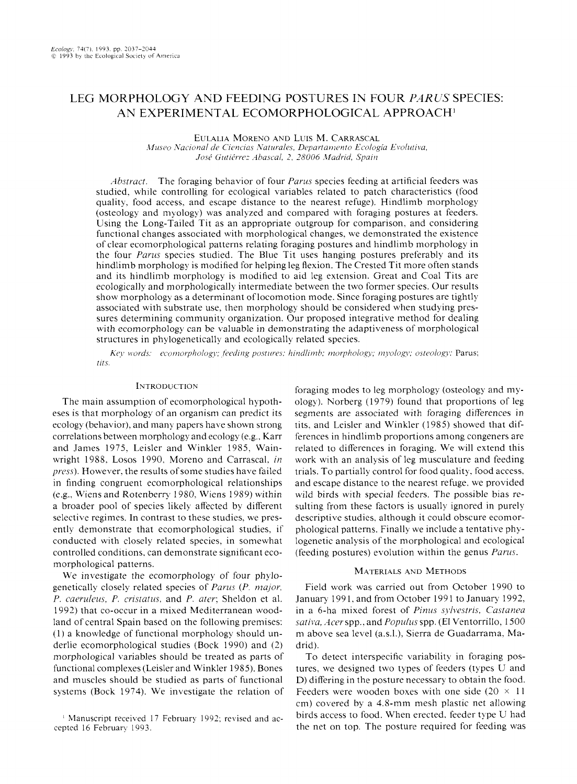# LEG MORPHOLOGY AND FEEDING POSTURES IN FOUR *PARUS* SPECIES: AN EXPERIMENTAL ECOMORPHOLOGICAL APPROACH'

### EULALIA MORENO AND LUIS M. CARRASCAL *Museo Nacional de Ciencias Naturales, Departamento Ecología Evolutiva,*  $José Gutiérrez Abascal, 2, 28006 Madrid, Spain$

*Abstract.* The foraging behavior of four *Parus* species feeding at artificial feeders was studied. while controlling for ecological variables related to patch characteristics (food quality. food access. and escape distance to the nearest refuge). Hindlimb morphology (osteology and myology) was analyzed and compared with foraging postures at feeders. Using the Long-Tailed Tit as an appropriate outgroup for comparison. and considering functional changes associated with morphological changes, we demonstrated the existence of clear ecomorphological patterns relating foraging postures and hindlimb morphology in the four *Parus* species studied. The Blue Tit uses hanging postures preferably and its hindlimb morphology is modified for helping leg flexion. The Crested Tit more often stands and its hindlimb morphology is modified to aid leg extension. Great and Coa1 Tits are ecologically and morphologically intermediate between the two former species. Our results show morphology as a determinant of locomotion mode. Since foraging postures are tightly associated with substrate use. then morphology should be considered when studying pressures determining community organization. Our proposed integrative method for dealing with ecomorphology can be valuable in demonstrating the adaptiveness of morphological structures in phylogenetically and ecologically related species.

*Key. words: ~ecomorphology: feeding postures: hindlimb; morphology; myology; osteology; Parus;* tits.

## INTRODUCTION

The main assumption of ecomorphological hypotheses is that morphology of an organism can predict its ecology (behavior). and many papers have shown strong correlations between morphology and ecology (e.g.. Karr and James 1975. Leisler and Winkler 1985. Wainwright 1988. Losos 1990. Moreno and Carrascal. **in**  *press*). However, the results of some studies have failed in finding congruent ecomorphological relationships (e.g., Wiens and Rotenberry 1980, Wiens 1989) within a broader pool of species likely affected by different selective regimes. In contrast to these studies. we presently demonstrate that ecomorphological studies. if conducted with closely related species. in somewhat controlled conditions. can demonstrate significant ecomorphological patterns.

We investigate the ecomorphology of four phylogenetically closely related species of *Parxs* (P. *nzajor, P. caeruleus, P. cristatus, and P. ater; Sheldon et al.* 1992) that co-occur in a mixed Mediterranean woodland of central Spain based on the following premises: (1) a knowledge of functional morphology should underlie ecomorphological studies (Bock 1990) and (2) morphological variables should be treated as parts of functional complexes (Leisler and Winkler 1985). Bones and muscles should be studied as parts of functional systems (Bock 1974). We investigate the relation of foraging modes to leg morphology (osteology and myology). Norberg (1979) found that proportions of leg segments are associated with foraging differences in tits, and Leisler and Winkler (1985) showed that differences in hindlimb proportions among congeners are related to differences in foraging. We will extend this work with an analysis of leg musculature and feeding trials. To partially control for food quality. food access. and escape distance to the nearest refuge. we provided wild birds with special feeders. The possible bias resulting from these factors is usually ignored in purely descriptive studies. although it could obscure ecomorphological patterns. Finally we include a tentative phylogenetic analysis of the morphological and ecological (feeding postures) evolution within the genus *Parus.* 

# MATERIALS AND METHODS

Field work was carried out from October 1990 to January 1991, and from October 1991 to January 1992, in a 6-ha mixed forest of *Pinus sylvestris, Castanea sativa, Acer spp., and Populus spp.* (El Ventorrillo, 1500) m above sea leve1 (a.s.1.). Sierra de Guadarrama. Madrid).

To detect interspecific variability in foraging postures. we designed two types of feeders (types U and D) differing in the posture necessary to obtain the food. Feeders were wooden boxes with one side  $(20 \times 11)$ cm) covered by a 4.8-mm mesh plastic net allowing birds access to food. When erected. feeder type U had the net on top. The posture required for feeding was

<sup>&</sup>lt;sup>1</sup> Manuscript received 17 February 1992; revised and accepted 16 February 1993.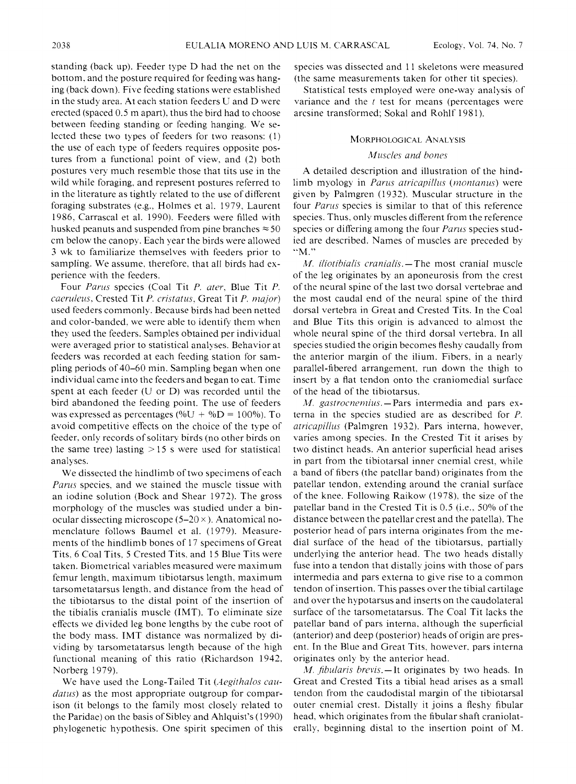standing (back up). Feeder type D had the net on the bottom. and the posture required for feeding was hanging (back down). Five feeding stations were established in the study area. At each station feeders U and D were erected (spaced 0.5 m apart). thus the bird had to choose between feeding standing or feeding hanging. We selected these two types of feeders for two reasons: (1) the use of each type of feeders requires opposite postures from a functional point of view. and (2) both postures very much resemble those that tits use in the wild while foraging. and represent postures referred to in the literature as tightly related to the use of different foraging substrates (e.g.. Holmes et al. 1979. Laurent 1986. Carrasca1 et al. 1990). Feeders were filled with husked peanuts and suspended from pine branches  $\approx 50$ cm below the canopy. Each year the birds were allowed 3 wk to familiarize themselves with feeders prior to sampling. We assume, therefore, that all birds had experience with the feeders.

Four Parus species (Coal Tit P. ater. Blue Tit P. caeruleus. Crested Tit P. cristatus. Great Tit P. major) used feeders commonly. Because birds had been netted and color-banded. we were able to identify them when they used the feeders. Samples obtained per individual were averaged prior to statistical analyses. Behavior at feeders was recorded at each feeding station for sampling periods of 40-60 min. Sampling began when one individual came into the feeders and began to eat. Time spent at each feeder (U or D) was recorded until the bird abandoned the feeding point. The use of feeders was expressed as percentages (% $U + %D = 100%$ ). To avoid competitive effects on the choice of the type of feeder, only records of solitary birds (no other birds on the same tree) lasting  $>15$  s were used for statistical analyses.

We dissected the hindlimb of two specimens of each Parus species, and we stained the muscle tissue with an iodine solution (Bock and Shear 1972). The gross morphology of the muscles was studied under a binocular dissecting microscope  $(5-20 \times)$ . Anatomical nomenclature follows Baumel et al. (1979). Measurements of the hindlimb bones of 17 specimens of Great Tits. 6 Coal Tits. 5 Crested Tits. and 15 Blue Tits were taken. Biometrical variables measured were maximum femur length. maximum tibiotarsus length. maximum tarsometatarsus length. and distance from the head of the tibiotarsus to the distal point of the insertion of the tibialis cranialis muscle (IMT). To eliminate size effects we divided leg bone lengths by the cube root of the body mass. IMT distance was normalized by dividing by tarsometatarsus length because of the high functional meaning of this ratio (Richardson 1942. Norberg 1979).

We have used the Long-Tailed Tit (Aegithalos caudatus) as the most appropriate outgroup for comparison (it belongs to the family most closely related to the Paridae) on the basis of Sibley and Ahlquist's (1990) phylogenetic hypothesis. One spirit specimen of this species was dissected and 11 skeletons were measured (the same measurements taken for other tit species).

Statistical tests employed were one-way analysis of variance and the  $t$  test for means (percentages were arcsine transformed. Sokal and Rohlf 198 1).

# **MORPHOLOGICAL ANALYSIS**

# Muscles and bones

A detailed description and illustration of the hindlimb myology in *Parus atricapillus* (*montanus*) were given by Palmgren (1932). Muscular structure in the four Parus species is similar to that of this reference species. Thus. only muscles different from the reference species or differing among the four Parus species studied are described. Names of muscles are preceded by "M."

*M. iliotibialis cranialis.*-The most cranial muscle of the leg originates by an aponeurosis from the crest of the neural spine of the last two dorsal vertebrae and the most caudal end of the neural spine of the third dorsal vertebra in Great and Crested Tits. In the Coal and Blue Tits this origin is advanced to almost the whole neural spine of the third dorsal vertebra. In all species studied the origin becomes fleshy caudally from the anterior margin of the ilium. Fibers. in a nearly parallel-fibered arrangement. run down the thigh to insert by a flat tendon onto the craniomedial surface of the head of the tibiotarsus.

*M. gastrocnemius.* - Pars intermedia and pars externa in the species studied are as described for P. atricapillus (Palmgren 1932). Pars interna, however, varies among species. In the Crested Tit it arises by two distinct heads. An anterior superficial head arises in part from the tibiotarsal inner cnemial crest. while a band of fibers (the patcllar band) originates from the patellar tendon. extending around the cranial surface of the knee. Following Raikow (1978). the size of the patellar band in the Crested Tit is  $0.5$  (i.e.,  $50\%$  of the distance between the patellar crest and the patella). The posterior head of pars interna originates from the medial surface of the head of the tibiotarsus. partially underlying the anterior head. The two heads distally fuse into a tendon that distally joins with those of pars intermedia and pars externa to give rise to a common tendon of insertion. This passes over the tibial cartilage and over the hypotarsus and inserts on the caudolateral surface of the tarsometatarsus. The Coal Tit lacks the patellar band of pars interna. although the superficial (anterior) and deep (posterior) heads of origin are present. In the Blue and Great Tits. however. pars interna originates only by the anterior head.

M. fibularis brevis. $\frac{-1}{i}$  originates by two heads. In Great and Crested Tits a tibial head arises as a small tendon from the caudodistal margin of the tibiotarsal outer cnemial crest. Distally it joins a fleshy fibular head. which originates from the fibular shaft craniolaterally. beginning distal to the insertion point of M.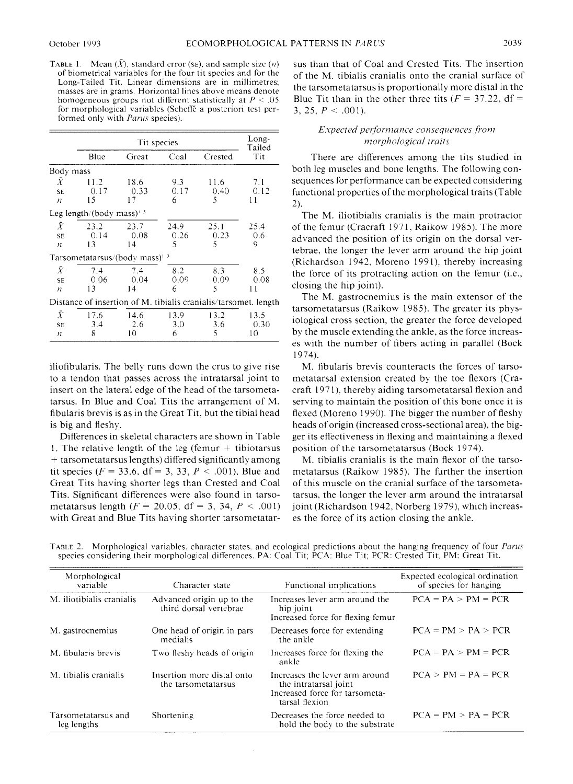TABLE 1. Mean  $(\bar{X})$ , standard error (SE), and sample size  $(n)$ of biometrical variables for the four tit species and for the Long-Tailed Tit. Linear dimensions are in millimetres: masses are in grams. Horizontal lines above means denote homogeneous groups not different statistically at  $P < .05$ for morphological variables (Scheffe a posteriori test performed only with Parus species).

|                                                                 |                                                            | Tit species        |                  |                   | Long-<br>Tailed    |  |
|-----------------------------------------------------------------|------------------------------------------------------------|--------------------|------------------|-------------------|--------------------|--|
|                                                                 | Blue                                                       | Great              | Coal             | Crested           | Tit                |  |
| Body mass                                                       |                                                            |                    |                  |                   |                    |  |
| $\bar{X}$<br>SE.<br>$\boldsymbol{n}$                            | 11.2<br>0.17<br>15                                         | 18.6<br>0.33<br>17 | 9.3<br>0.17<br>6 | 11.6<br>0.40<br>5 | 7.1<br>0.12<br>11  |  |
|                                                                 | Leg length/(body mass) <sup><math>\frac{3}{2}</math></sup> |                    |                  | 24.9<br>25.1      |                    |  |
| $\bar{X}$<br><b>SE</b><br>H                                     | 23.2<br>0.14<br>13                                         | 23.7<br>0.08<br>14 | 0.26<br>5        | 0.23<br>5         | 25.4<br>0.6<br>9   |  |
|                                                                 | Tarsometatarsus/(body mass) <sup>13</sup>                  |                    |                  |                   |                    |  |
| $\bar{X}$<br><b>SE</b><br>$\boldsymbol{n}$                      | 7.4<br>0.06<br>13                                          | 7.4<br>0.04<br>14  | 8.2<br>0.09<br>6 | 8.3<br>0.09<br>5  | 8.5<br>0.08<br>11  |  |
| Distance of insertion of M. tibialis cranialis/tarsomet. length |                                                            |                    |                  |                   |                    |  |
| Ī<br>SE.<br>n                                                   | 17.6<br>3.4<br>8                                           | 14.6<br>2.6<br>10  | 13.9<br>3.0<br>6 | 13.2<br>3.6<br>5  | 13.5<br>0.30<br>10 |  |

iliofibularis. The belly runs down the crus to give rise to a tendon that passes across the intratarsal joint to insert on the lateral edge of the head of the tarsometatarsus. In Blue and Coal Tits the arrangement of M. fibularis brevis is as in the Great Tit. but the tibia1 head is big and fleshy.

Differences in skeletal characters are shown in Table 1. The relative length of the leg (femur  $+$  tibiotarsus + tarsometatarsus lengths) differed significantly among tit species ( $F = 33.6$ , df = 3, 33,  $P < .001$ ). Blue and Great Tits having shorter legs than Crested and Coal Tits. Significant differences were also found in tarsometatarsus length ( $F = 20.05$ , df = 3, 34,  $P < .001$ ) with Great and Blue Tits having shorter tarsometatarsus than that of Coal and Crested Tits. The insertion of the M. tibialis cranialis onto the cranial surface of the tarsometatarsus is proportionally more distal in the Blue Tit than in the other three tits  $(F = 37.22, df =$ 3, 25,  $P < .001$ ).

# Expected performance consequences from morphological traits

There are differences among the tits studied in both leg muscles and bone lengths. The following consequences for performance can be expected considering functional properties of the morphological traits (Table *2).* 

The M. iliotibialis cranialis is the main protractor of the femur (Cracraft 1971, Raikow 1985). The more advanced the position of its origin on the dorsal vertebrae. the longer the lever arm around the hip joint (Richardson 1942, Moreno 1991), thereby increasing the force of its protracting action on the femur (i.e., closing the hip joint).

The M. gastrocnemius is the main extensor of the tarsometatarsus (Raikow 1985). The greater its physiological cross section. the greater the force developed by the muscle extending the ankle. as the force increases with the number of fibers acting in parallel (Bock 1974).

M. fibularis brevis counteracts the forces of tarsometatarsal extension created by the toe flexors (Cracraft 197 1). thereby aiding tarsometatarsal flexion and serving to maintain the position of this bone once it is flexed (Moreno 1990). The bigger the number of fleshy heads of origin (increased cross-sectional area). the bigger its effectiveness in flexing and maintaining a flexed position of the tarsometatarsus (Bock 1974).

M. tibialis cranialis is the main flexor of the tarsometatarsus (Raikow 1985). The further the insertion of this muscle on the cranial surface of the tarsometatarsus. the longer the lever arm around the intratarsal joint (Richardson 1942. Norberg 1979). which increases the force of its action closing the ankle.

| Morphological<br>variable          | Character state                                     | Functional implications                                                                                     | Expected ecological ordination<br>of species for hanging |
|------------------------------------|-----------------------------------------------------|-------------------------------------------------------------------------------------------------------------|----------------------------------------------------------|
| M. iliotibialis cranialis          | Advanced origin up to the<br>third dorsal vertebrae | Increases lever arm around the<br>hip joint<br>Increased force for flexing femur                            | $PCA = PA > PM = PCR$                                    |
| M. gastrocnemius                   | One head of origin in pars<br>medialis              | Decreases force for extending<br>the ankle                                                                  | $PCA = PM > PA > PCR$                                    |
| M. fibularis brevis                | Two fleshy heads of origin                          | Increases force for flexing the<br>ankle                                                                    | $PCA = PA > PM = PCR$                                    |
| M. tibialis cranialis              | Insertion more distal onto<br>the tarsometatarsus   | Increases the lever arm around<br>the intratarsal joint<br>Increased force for tarsometa-<br>tarsal flexion | $PCA > PM = PA = PCR$                                    |
| Tarsometatarsus and<br>leg lengths | Shortening                                          | Decreases the force needed to<br>hold the body to the substrate                                             | $PCA = PM > PA = PCR$                                    |

TABLE 2. Morphological variables, character states, and ecological predictions about the hanging frequency of four Parus species considering their morphological differences. PA: Coal Tit; PCA: Blue Tit: PCR: Crested Tit; PM: Great Tit.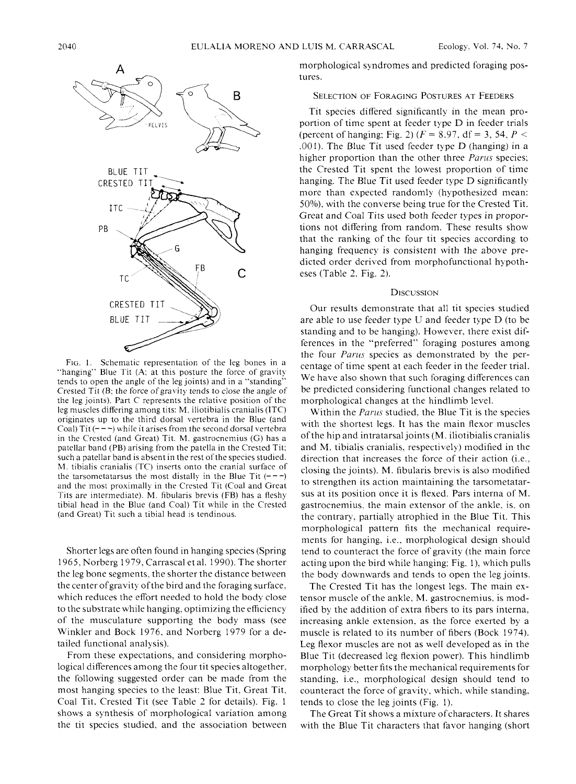

FIG. 1. Schematic representation of the leg bones in a "hanging" Blue Tit (A; at this posture the force of gravity tends to open the angle of the leg joints) and in a "standing" Crested Tit (B: the force of gravity tends to close the angle of the leg joints). Part C represents the relative position of the leg muscles differing among tits: M. iliotibialis cranialis (ITC) originates up to the third dorsal vertebra in the Blue (and Coal) Tit  $(- - -)$  while it arises from the second dorsal vertebra in the Crested (and Great) Tit. M. gastrocnemius (G) has a patellar band (PB) arising from the patella in the Crested Tit: such a patellar band is absent in the rest of the species studied. M. tibialis cranialis (TC) inserts onto the cranial surface of the tarsometatarsus the most distally in the Blue Tit  $(--1)$ and the most proximally in the Crested Tit (Coal and Great Tits are intermediate). M. fibularis brevis (FB) has a fleshy tibial head in the Blue (and Coal) Tit while in the Crested (and Great) Tit such a tibial head 1s tendinous.

Shorter legs are often found in hanging species (Spring 1965. Norberg 1979. Carrasca1 et al. 1990). The shorter the leg bone segments. the shorter the distance between the center ofgravity of the bird and the foraging surface. which reduces the effort needed to hold the body close to the substrate while hanging. optimizing the efficiency of the musculature supporting the body mass (see Winkler and Bock 1976. and Norberg 1979 for a detailed functional analysis).

From these expectations. and considering morphological differences among the four tit species altogether, the following suggested order can be made from the most hanging species to the least: Blue Tit. Great Tit, Coal Tit. Crested Tit (see Table 2 for details). Fig. 1 shows a synthesis of morphological variation among the tit species studied. and the association between morphological syndromes and predicted foraging postures.

Tit species differed significantly in the mean proportion of time spent at feeder type D in feeder trials (percent of hanging; Fig. 2) ( $F = 8.97$ , df = 3, 54,  $P <$ ,001). The Blue Tit used feeder type D (hanging) in a higher proportion than the other three *Parus* species: the Crested Tit spent the lowest proportion of time hanging. The Blue Tit used feeder type D significantly more than expected randomly (hypothesized mean: 50%). with the converse being true for the Crested Tit. Great and Coal Tits used both feeder types in proportions not differing from random. These results show that the ranking of the four tit species according to hanging frequency is consistent with the above predicted order derived from morphofunctional hypotheses (Table 2. Fig. 2).

### **DISCUSSION**

Our results demonstrate that al1 tit species studied are able to use feeder type U and feeder type D (to be standing and to be hanging). However. there exist differences in the "preferred" foraging postures among the four *Parus* species as demonstrated by the percentage of time spent at each feeder in the feeder trial. We have also shown that such foraging differences can be predicted considering functional changes related to morphological changes at the hindlimb level.

Within the *Parlis* studied. the Blue Tit is the species with the shortest legs. It has the main flexor muscles of the hip and intratarsal joints (M. iliotibialis cranialis and M. tibialis cranialis. respectively) modified in the direction that increases the force of their action (i.e., closing the joints). M. fibularis brevis is also modified to strengthen its action maintaining the tarsometatarsus at its position once it is flexed. Pars interna of M. gastrocnemius. the main extensor of the ankle. is. on the contrary, partially atrophied in the Blue Tit. This morphological pattern fits the mechanical requirements for hanging, i.e., morphological design should tend to counteract the force of gravity (the main force acting upon the bird while hanging: Fig. 1). which pulls the body downwards and tends to open the leg joints.

The Crested Tit has the longest legs. The main extensor muscle of the ankle. M. gastrocnemius. is modified by the addition of extra fibers to its pars interna. increasing ankle extension. as the force exerted by a muscle is related to its number of fibers (Bock 1974). Leg flexor muscles are not as well developed as in the Blue Tit (decreased leg flexion power). This hindlimb morphology better fits the mechanical requirements for standing, i.e., morphological design should tend to counteract the force of gravity. which. while standing. tends to close the leg joints (Fig. 1).

The Great Tit shows a mixture of characters. It shares with the Blue Tit characters that favor hanging (short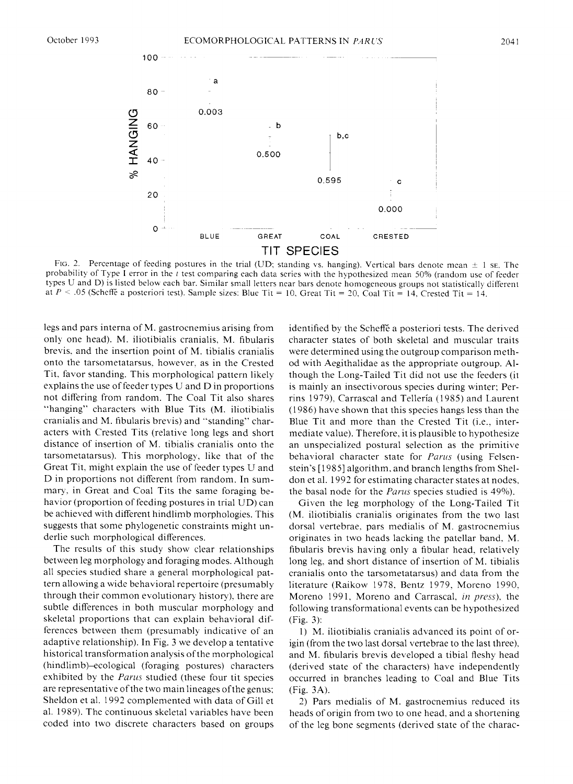

FIG. 2. Percentage of feeding postures in the trial (UD; standing vs. hanging). Vertical bars denote mean  $\pm$  1 se. The probability of Type **1** error in the *t* test comparing each data series with the hqpothesized mean 50% (random use of feeder types U and D) is listed below each bar. Similar small letters near bars denote homogeneous groups not statistically different at  $P < .05$  (Scheffe a posteriori test). Sample sizes: Blue Tit = 10, Great Tit = 20, Coal Tit = 14, Crested Tit = 14.

legs and pars interna of M. gastrocnemius arising from only one head). M. iliotibialis cranialis. M. fibularis brevis. and the insertion point of M. tibialis cranialis onto the tarsometatarsus. however. as in the Crested Tit, favor standing. This morphological pattern likely explains the use of feeder types U and D in proportions not differing from random. The Coal Tit also shares "hanging" characters with Blue Tits (M. iliotibialis cranialis and M. fibularis brevis) and "standing" characters with Crested Tits (relative long legs and short distance of insertion of M. tibialis cranialis onto the tarsometatarsus). This morphology, like that of the Great Tit. might explain the use of feeder types U and D in proportions not different from random. In summary, in Great and Coal Tits the same foraging behavior (proportion of feeding postures in trial UD) can be achieved with different hindlimb morphologies. This suggests that some phylogenetic constraints might underlie such morphological differences.

The results of this study show clear relationships between leg morphology and foraging modes. Although al1 species studied share a general morphological pattern allowing a wide behavioral repertoire (presumably through their common evolutionary history), there are subtle differences in both muscular morphology and skeletal proportions that can explain behavioral differences between them (presumably indicative of an adaptive relationship). In Fig. 3 we develop a tentative historical transformation analysis of the morphological (hindlimb)-ecological (foraging postures) characters exhibited by the Parus studied (these four tit species are representative of the two main lineages ofthe genus: Sheldon et al. 1992 complemented with data of Gil1 et al. 1989). The continuous skeletal variables have been coded into two discrete characters based on groups

identified by the Scheffe a posteriori tests. The derived character states of both skeletal and muscular traits were determined using the outgroup comparison method with Aegithalidae as the appropriate outgroup. Although the Long-Tailed Tit did not use the feeders (it is mainly an insectivorous species during winter: Perrins 1979). Carrascal and Tellería (1985) and Laurent (1 986) have shown that this species hangs less than the Blue Tit and more than the Crested Tit (i.e., intermediate value). Therefore. it is plausible to hypothesize an unspecialized postura1 selection as the primitive behavioral character state for Parus (using Felsenstein's [1985] algorithm. and branch lengths from Sheldon et al. 1992 for estimating character states at nodes, the basal node for the *Parus* species studied is 49%).

Given the leg morphology of the Long-Tailed Tit (M. iliotibialis cranialis originates from the two last dorsal vertebrae. pars medialis of M. gastrocnemius originates in two heads lacking the patellar band. M. fibularis brevis having only a fibular head. relatively long leg. and short distance of insertion of M. tibialis cranialis onto the tarsometatarsus) and data from the literature (Raikow 1978. Bentz 1979. Moreno 1990. Moreno 1991. Moreno and Carrascal, in press), the following transformational events can be hypothesized (Fig. 3):

1) M. iliotibialis cranialis advanced its point of origin (from the two last dorsal vertebrae to the last three). and M. fibularis brevis developed a tibia1 fleshy head (derived state of the characters) have independently occurred in branches leading to Coal and Blue Tits (Fig. 3A).

2) Pars medialis of M. gastrocnemius reduced its heads of origin from two to one head, and a shortening of the leg bone segments (derived state of the charac-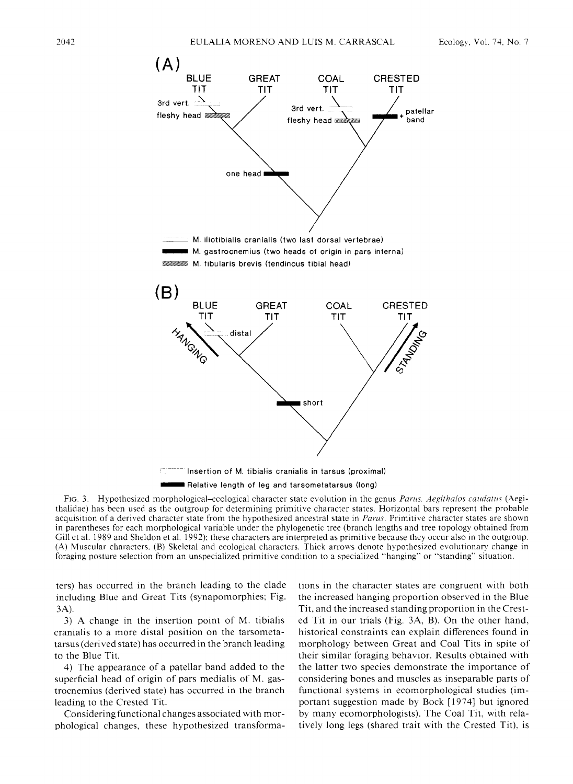

Relative length of leg and tarsometatarsus (long)

Fic. **3.** Hypothesized morphological-ecological character state evolution in the genus *Parus. Aegithalos caudatus* (Aegithalidae) has been used as the outgroup for determining primitive character states. Horizontal bars represent the probable acquisition of a derived character state from the hypothesized ancestral state in *Parus*. Primitive character states are shown in parentheses for each morphological variable under the phylogenetic tree (branch lengths and tree topology obtained from Gill et al. 1989 and Sheldon et al. 1992): these characters are interpreted as primitive because they occur also in the outgroup. (A) Muscular characters. (B) Skeletal and ecological characters. Thick arrows denote hypothesized evolutionary change in foraging posture selection from an unspecialized primitive condition to a specialized "hanging" or "standing" situation.

ters) has occurred in the branch leading to the clade including Blue and Great Tits (synapomorphies: Fig. 3A).

3) A change in the insertion point of M. tibialis cranialis to a more dista1 position on the tarsometatarsus (derived state) has occurred in the branch leading to the Blue Tit.

4) The appearance of a patellar band added to the superficial head of origin of pars medialis of M. gastrocnemius (derived state) has occurred in the branch leading to the Crested Tit.

Considering functional changes associated with morphological changes. these hypothesized transformations in the character states are congruent with both the increased hanging proportion observed in the Blue Tit. and the increased standing proportion in the Crested Tit in our trials (Fig. 3A, B). On the other hand. historical constraints can explain differences found in morphology between Great and Coal Tits in spite of their similar foraging behavior. Results obtained with the latter two species demonstrate the importance of considering bones and muscles as inseparable parts of functional systems in ecomorphological studies (important suggestion made by Bock [1974] but ignored by manp ecomorphologists). The Coal Tit. with relatively long legs (shared trait with the Crested Tit). is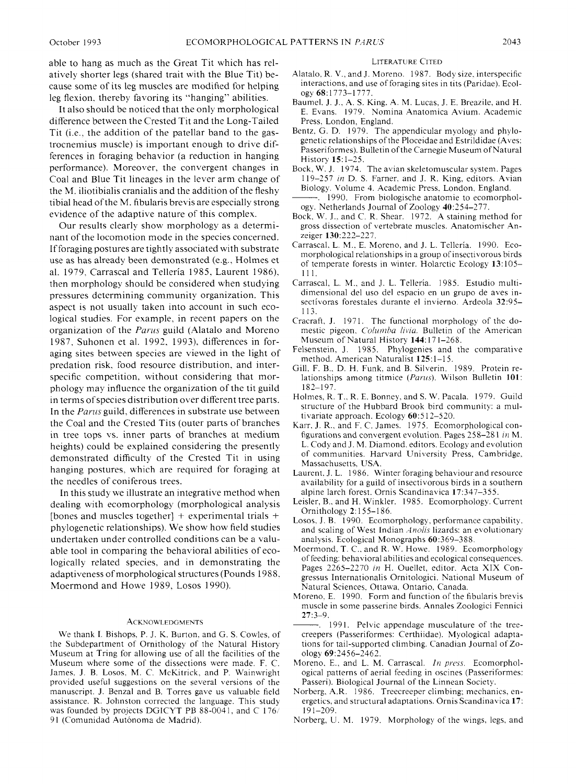able to hang as much as the Great Tit which has relatively shorter legs (shared trait with the Blue Tit) because some of its leg muscles are modified for helping leg flexion. thereby favoring its "hanging" abilities.

It also should be noticed that the only morphological difference between the Crested Tit and the Long-Tailed Tit (i.e., the addition of the patellar band to the gastrocnemius muscle) is important enough to drive differences in foraging behavior (a reduction in hanging performance). Moreover. the convergent changes in Coal and Blue Tit lineages in the lever arm change of the M. iliotibialis cranialis and the addition of the fleshy tibia1 head of the M. fibularis brevis are especially strong evidence of the adaptive nature of this complex.

Our results clearly show morphology as a determinant of the locomotion mode in the species concerned. If foraging postures are tightly associated with substrate use as has already been demonstrated (e.g., Holmes et al. 1979. Carrascal and Tellería 1985, Laurent 1986). then morphology should be considered when studying pressures determining communitp organization. This aspect is not usually taken into account in such ecological studies. For example, in recent papers on the organization of the *Pariis* guild (Alatalo and Moreno 1987, Suhonen et al. 1992, 1993). differences in foraging sites between species are viewed in the light of predation risk. food resource distribution, and interspecific competition, without considering that morphologp may influence the organization of the tit guild in terms of species distribution over different tree parts. In the *Parlis* guild, differences in substrate use between the Coal and the Crested Tits (outer parts of branches in tree tops vs. inner parts of branches at medium heights) could be explained considering the presently demonstrated difficulty of the Crested Tit in using hanging postures. which are required for foraging at the needles of coniferous trees.

In this study we illustrate an integrative method when dealing with ecomorphology (morphological analysis [bones and muscles together]  $+$  experimental trials  $+$ phylogenetic relationships). We show how field studies undertaken under controlled conditions can be a valuable tool in comparing the behavioral abilities of ecologically related species, and in demonstrating the adaptiveness of morphological structures (Pounds 1988. Moermond and Howe 1989. Losos 1990).

#### **ACKNOWLEDGMENTS**

We thank 1. Bishops. P. J. K. Burton. and G. S. Cowles. of the Subdepartment of Ornithology of the Natural History Museum at Tring for allowing use of al1 the facilities of the Museum where some of the dissections were made. F. C. James. J. B. Losos. M. C. McKitrick, and P. Wainwright provided useful suggestions on the several versions of the manuscript. J. Benzal and B. Torres gave us valuable field assistance. R. Johnston corrected the language. This study was founded by projects DGICYT PB 88-0041, and C  $176/$ 91 (Comunidad Autónoma de Madrid).

#### **LITERATURE CITED**

- Alatalo. R. V., and J. Moreno. 1987. Body size. interspecific interactions, and use of foraging sites in tits (Paridae). Ecology 68: 1773-1 777.
- Baumel. J. J.. A. S. King. A. M. Lucas, J. E. Breazile, and H. E. Evans. 1979. Nomina Anatomica Avium. Academic Press, London, England.
- Bentz. G. D. 1979. The appendicular myology and phylogenetic relationships of the Ploceidae and Estrildidae (Aves: Passeriformes). Bulletin of the Carnegie Museum of Natural History 15:l-25.
- Bock, W. J. 1974. The avian skeletomuscular system. Pages 119-257 in D. S. Farner. and J. R. King, editors. Avian Biology. Volume 4. Academic Press. London. England.
- 1990. From biologische anatomie to ecomorphology. Netherlands Journal of Zoology 40:254-277.
- Bock. W. J.. and C. R. Shear. 1972. A staining method for gross dissection of vertebrate muscles. Anatomischer Anzeiger 130:222-227.
- Carrascal. L. M.. E. Moreno, and J. L. Tellería. 1990. Ecomorphological relationships in a group of insectivorous birds of temperate forests in winter. Holarctic Ecology 13:105- 11 1.
- Carrascal, L. M.. and J. L. Tellería. 1985. Estudio multidimensional del uso del espacio en un grupo de aves insectívoras forestales durante el invierno. Ardeola 32:95- 113.
- Cracraft. J. 1971. The functional morphology of the domestic pigeon, *Columba livia*. Bulletin of the American Museum of Natural History 144:171-268.
- Felsenstein, J. 1985. Phylogenies and the comparative method. American Naturalist 125:1-15.
- Gill. F. B.. D. H. Funk. and B. Silverin. 1989. Protein relationships among titmice *(Purus).* Wilson Bulletin 101: 182-197:
- Holmes, R. T., R. E. Bonney, and S. W. Pacala. 1979. Guild structure of the Hubbard Brook bird community: a multivariate approach. Ecology 60:5 12-520.
- Karr. J. R., and F. C. James. 1975. Ecomorphological configurations and convergent evolution. Pages 258-28 1 **111** M. L. Cody and J. M. Diamond. editors. Ecology and evolution of communities. Harvard University Press, Cambridge. Massachusetts. USA.
- Laurent. J. L. 1986. Winter foraging behaviour and resource availability for a guild of insectivorous birds in a southern alpine larch forest. Ornis Scandinavica 17:347-355.
- Leisler, B.. and H. Winkler. 1985. Ecomorphology. Current Ornithology 2: 155-1 86.
- Losos. J. B. 1990. Ecomorphology, performance capability. and scaling of West Indian *Anolis* lizards: an evolutionary analysis. Ecological Monographs 60:369-388.
- Moermond. T. C.. and R. W. Howe. 1989. Ecomorphology of feeding: behavioral abilities and ecological consequences. Pages 2265-2270 **in** H. Ouellet, editor. Acta XIX Congressus Internationalis Ornitologici. National Museum of Natural Sciences. Ottawa. Ontario, Canada.
- Moreno. E. 1990. Form and function of the fibularis brevis muscle in some passerine birds. Annales Zoologici Fennici 27:3-9.
- 1991. Pelvic appendage musculature of the treecreepers (Passeriformes: Certhiidae). Myological adaptations for tail-supported climbing. Canadian Joumal of Zoology 69:2456-2462.
- Moreno. E., and L. M. Carrascal. *In press.* Ecomorphological patterns of aerial feeding in oscines (Passeriformes: Passeri). Biological Journal of the Linnean Society.
- Norberg. A.R. 1986. Treecreeper climbing: mechanics, energetics, and structural adaptations. Ornis Scandinavica 17: 191-209.
- Norberg, U. M. 1979. Morphology of the wings, legs. and